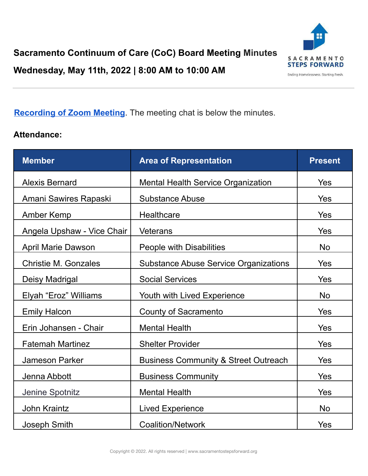Ending Homelessness. Starting Fresh.

## **[Recording](https://sacstepsforward-my.sharepoint.com/:v:/g/personal/rdavidson_sacstepsforward_org/ERvlTZR_kodCqAFhBmzAHxsBrQtLLYaquICA26CkT0zotQ?e=2U0T1Gl=https%3A%2F%2Fus02web.zoom.us%2Frec%2Fshare%2Fu9_TrRoIEzLEgzJEJoJkDukSiF-ExIDP0AbytP6SeYI9qK5aKEqeW3bl_5YMsN-q.fs-mfhIkeuYP3itu&data=04%7C01%7Ckjones%40sacstepsforward.org%7Cb9d07f1c3f204deb5bb108da01f8b4b1%7Cd028ae6fed514727bf3ae8fcab762035%7C1%7C0%7C637824466033440205%7CUnknown%7CTWFpbGZsb3d8eyJWIjoiMC4wLjAwMDAiLCJQIjoiV2luMzIiLCJBTiI6Ik1haWwiLCJXVCI6Mn0%3D%7C3000&sdata=b%2BJiO%2BgcYcWR%2FW8LK%2BSYoLHm8k64p1f6UGpzKFAy%2BLw%3D&reserved=0g/personal/mcharlton_sacstepsforward_org/EY8H_FDuyvVNjlthXYoqXxcBdTUMfkDyYa3RLJtomV83yA) of Zoom Meeting**. The meeting chat is below the minutes.

#### **Attendance:**

| <b>Member</b>               | <b>Area of Representation</b>                   | <b>Present</b> |
|-----------------------------|-------------------------------------------------|----------------|
| <b>Alexis Bernard</b>       | <b>Mental Health Service Organization</b>       | <b>Yes</b>     |
| Amani Sawires Rapaski       | <b>Substance Abuse</b>                          | <b>Yes</b>     |
| <b>Amber Kemp</b>           | Healthcare                                      | Yes            |
| Angela Upshaw - Vice Chair  | <b>Veterans</b>                                 | Yes            |
| <b>April Marie Dawson</b>   | People with Disabilities                        | <b>No</b>      |
| <b>Christie M. Gonzales</b> | <b>Substance Abuse Service Organizations</b>    | Yes            |
| Deisy Madrigal              | <b>Social Services</b>                          | Yes            |
| Elyah "Eroz" Williams       | Youth with Lived Experience                     | <b>No</b>      |
| <b>Emily Halcon</b>         | <b>County of Sacramento</b>                     | Yes            |
| Erin Johansen - Chair       | <b>Mental Health</b>                            | Yes            |
| <b>Fatemah Martinez</b>     | <b>Shelter Provider</b>                         | Yes            |
| <b>Jameson Parker</b>       | <b>Business Community &amp; Street Outreach</b> | <b>Yes</b>     |
| Jenna Abbott                | <b>Business Community</b>                       | Yes            |
| Jenine Spotnitz             | <b>Mental Health</b>                            | Yes            |
| <b>John Kraintz</b>         | <b>Lived Experience</b>                         | <b>No</b>      |
| Joseph Smith                | <b>Coalition/Network</b>                        | Yes            |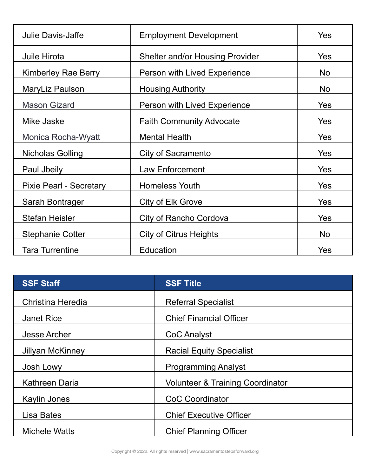| <b>Julie Davis-Jaffe</b>       | <b>Employment Development</b>          | <b>Yes</b> |
|--------------------------------|----------------------------------------|------------|
| Juile Hirota                   | <b>Shelter and/or Housing Provider</b> | <b>Yes</b> |
| <b>Kimberley Rae Berry</b>     | Person with Lived Experience           | <b>No</b>  |
| MaryLiz Paulson                | <b>Housing Authority</b>               | <b>No</b>  |
| <b>Mason Gizard</b>            | Person with Lived Experience           | Yes        |
| Mike Jaske                     | <b>Faith Community Advocate</b>        | <b>Yes</b> |
| Monica Rocha-Wyatt             | <b>Mental Health</b>                   | <b>Yes</b> |
| Nicholas Golling               | <b>City of Sacramento</b>              | <b>Yes</b> |
| Paul Jbeily                    | <b>Law Enforcement</b>                 | <b>Yes</b> |
| <b>Pixie Pearl - Secretary</b> | <b>Homeless Youth</b>                  | <b>Yes</b> |
| Sarah Bontrager                | City of Elk Grove                      | <b>Yes</b> |
| <b>Stefan Heisler</b>          | City of Rancho Cordova                 | <b>Yes</b> |
| <b>Stephanie Cotter</b>        | City of Citrus Heights                 | <b>No</b>  |
| <b>Tara Turrentine</b>         | Education                              | Yes        |

| <b>SSF Staff</b>      | <b>SSF Title</b>                            |  |
|-----------------------|---------------------------------------------|--|
| Christina Heredia     | <b>Referral Specialist</b>                  |  |
| <b>Janet Rice</b>     | <b>Chief Financial Officer</b>              |  |
| <b>Jesse Archer</b>   | CoC Analyst                                 |  |
| Jillyan McKinney      | <b>Racial Equity Specialist</b>             |  |
| Josh Lowy             | <b>Programming Analyst</b>                  |  |
| <b>Kathreen Daria</b> | <b>Volunteer &amp; Training Coordinator</b> |  |
| <b>Kaylin Jones</b>   | <b>CoC Coordinator</b>                      |  |
| Lisa Bates            | <b>Chief Executive Officer</b>              |  |
| <b>Michele Watts</b>  | <b>Chief Planning Officer</b>               |  |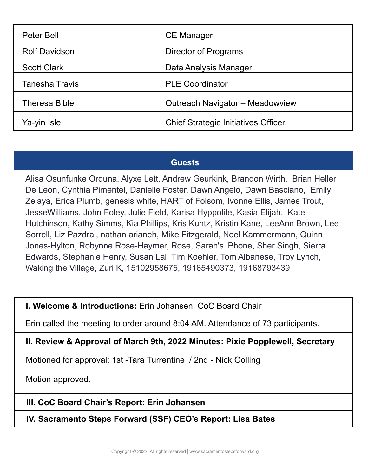| Peter Bell           | <b>CE Manager</b>                          |  |
|----------------------|--------------------------------------------|--|
| <b>Rolf Davidson</b> | Director of Programs                       |  |
| <b>Scott Clark</b>   | Data Analysis Manager                      |  |
| Tanesha Travis       | <b>PLE Coordinator</b>                     |  |
| <b>Theresa Bible</b> | Outreach Navigator - Meadowview            |  |
| Ya-yin Isle          | <b>Chief Strategic Initiatives Officer</b> |  |

# **Guests**

Alisa Osunfunke Orduna, Alyxe Lett, Andrew Geurkink, Brandon Wirth, Brian Heller De Leon, Cynthia Pimentel, Danielle Foster, Dawn Angelo, Dawn Basciano, Emily Zelaya, Erica Plumb, genesis white, HART of Folsom, Ivonne Ellis, James Trout, JesseWilliams, John Foley, Julie Field, Karisa Hyppolite, Kasia Elijah, Kate Hutchinson, Kathy Simms, Kia Phillips, Kris Kuntz, Kristin Kane, LeeAnn Brown, Lee Sorrell, Liz Pazdral, nathan arianeh, Mike Fitzgerald, Noel Kammermann, Quinn Jones-Hylton, Robynne Rose-Haymer, Rose, Sarah's iPhone, Sher Singh, Sierra Edwards, Stephanie Henry, Susan Lal, Tim Koehler, Tom Albanese, Troy Lynch, Waking the Village, Zuri K, 15102958675, 19165490373, 19168793439

### **I. Welcome & Introductions:** Erin Johansen, CoC Board Chair

Erin called the meeting to order around 8:04 AM. Attendance of 73 participants.

#### **II. Review & Approval of March 9th, 2022 Minutes: Pixie Popplewell, Secretary**

Motioned for approval: 1st -Tara Turrentine / 2nd - Nick Golling

Motion approved.

### **III. CoC Board Chair's Report: Erin Johansen**

**IV. Sacramento Steps Forward (SSF) CEO's Report: Lisa Bates**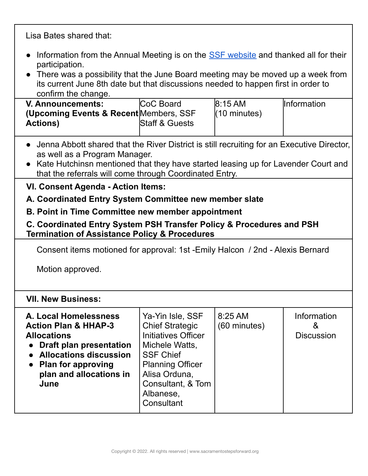Lisa Bates shared that:

- Information from the Annual Meeting is on the **SSF** [website](https://sacramentostepsforward.org/2022-sacramento-continuum-of-care-annual-meeting/) and thanked all for their participation.
- There was a possibility that the June Board meeting may be moved up a week from its current June 8th date but that discussions needed to happen first in order to confirm the change.

| V. Announcements:                       | <b>CoC Board</b>          | 8:15AM                 | <b>Information</b> |
|-----------------------------------------|---------------------------|------------------------|--------------------|
| (Upcoming Events & Recent Members, SSF) |                           | $(10 \text{ minutes})$ |                    |
| <b>Actions</b> )                        | <b>Staff &amp; Guests</b> |                        |                    |
|                                         |                           |                        |                    |

- Jenna Abbott shared that the River District is still recruiting for an Executive Director, as well as a Program Manager.
- Kate Hutchinsn mentioned that they have started leasing up for Lavender Court and that the referrals will come through Coordinated Entry.

### **VI. Consent Agenda - Action Items:**

# **A. Coordinated Entry System Committee new member slate**

#### **B. Point in Time Committee new member appointment**

#### **C. Coordinated Entry System PSH Transfer Policy & Procedures and PSH Termination of Assistance Policy & Procedures**

Consent items motioned for approval: 1st -Emily Halcon / 2nd - Alexis Bernard

Motion approved.

# **VII. New Business:**

| A. Local Homelessness           | Ya-Yin Isle, SSF           | 8:25 AM      | Information       |
|---------------------------------|----------------------------|--------------|-------------------|
| <b>Action Plan &amp; HHAP-3</b> | <b>Chief Strategic</b>     | (60 minutes) | &                 |
| <b>Allocations</b>              | <b>Initiatives Officer</b> |              | <b>Discussion</b> |
| <b>Draft plan presentation</b>  | Michele Watts,             |              |                   |
| <b>Allocations discussion</b>   | <b>SSF Chief</b>           |              |                   |
| <b>Plan for approving</b>       | <b>Planning Officer</b>    |              |                   |
| plan and allocations in         | Alisa Orduna,              |              |                   |
| June                            | Consultant, & Tom          |              |                   |
|                                 | Albanese,                  |              |                   |
|                                 | Consultant                 |              |                   |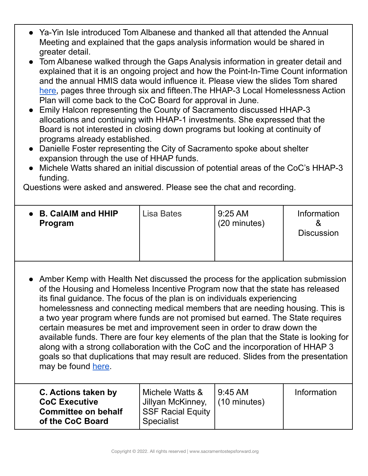- Ya-Yin Isle introduced Tom Albanese and thanked all that attended the Annual Meeting and explained that the gaps analysis information would be shared in greater detail.
- Tom Albanese walked through the Gaps Analysis information in greater detail and explained that it is an ongoing project and how the Point-In-Time Count information and the annual HMIS data would influence it. Please view the slides Tom shared [here,](https://sacramentostepsforward.org/wp-content/uploads/2022/05/CoC-Board-HHAP-3-Funding-Discussion_5.11.22.pdf) pages three through six and fifteen.The HHAP-3 Local Homelessness Action Plan will come back to the CoC Board for approval in June.
- Emily Halcon representing the County of Sacramento discussed HHAP-3 allocations and continuing with HHAP-1 investments. She expressed that the Board is not interested in closing down programs but looking at continuity of programs already established.
- Danielle Foster representing the City of Sacramento spoke about shelter expansion through the use of HHAP funds.
- Michele Watts shared an initial discussion of potential areas of the CoC's HHAP-3 funding.

Questions were asked and answered. Please see the chat and recording.

| <b>B. CalAIM and HHIP</b> | Lisa Bates | $9:25 \text{ AM}$ | Information       |
|---------------------------|------------|-------------------|-------------------|
| Program                   |            | (20 minutes)      | <b>Discussion</b> |
|                           |            |                   |                   |

● Amber Kemp with Health Net discussed the process for the application submission of the Housing and Homeless Incentive Program now that the state has released its final guidance. The focus of the plan is on individuals experiencing homelessness and connecting medical members that are needing housing. This is a two year program where funds are not promised but earned. The State requires certain measures be met and improvement seen in order to draw down the available funds. There are four key elements of the plan that the State is looking for along with a strong collaboration with the CoC and the incorporation of HHAP 3 goals so that duplications that may result are reduced. Slides from the presentation may be found [here](https://sacramentostepsforward.org/wp-content/uploads/2022/05/HHIP-101-SSF-CoC-Board-Presentation-5.11.22.pdf).

| C. Actions taken by<br><b>CoC Executive</b><br><b>Committee on behalf</b><br>of the CoC Board | Michele Watts &<br>Jillyan McKinney,<br><b>SSF Racial Equity</b><br><b>Specialist</b> | l 9:45 AM<br>$(10 \text{ minutes})$ | Information |
|-----------------------------------------------------------------------------------------------|---------------------------------------------------------------------------------------|-------------------------------------|-------------|
|                                                                                               |                                                                                       |                                     |             |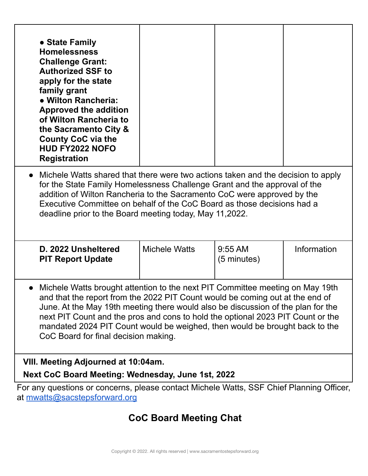| • State Family<br><b>Homelessness</b><br><b>Challenge Grant:</b><br><b>Authorized SSF to</b><br>apply for the state<br>family grant<br>• Wilton Rancheria:<br><b>Approved the addition</b><br>of Wilton Rancheria to<br>the Sacramento City &<br><b>County CoC via the</b><br><b>HUD FY2022 NOFO</b><br><b>Registration</b>                                                                                                                                  |                      |                                    |             |  |
|--------------------------------------------------------------------------------------------------------------------------------------------------------------------------------------------------------------------------------------------------------------------------------------------------------------------------------------------------------------------------------------------------------------------------------------------------------------|----------------------|------------------------------------|-------------|--|
| Michele Watts shared that there were two actions taken and the decision to apply<br>$\bullet$<br>for the State Family Homelessness Challenge Grant and the approval of the<br>addition of Wilton Rancheria to the Sacramento CoC were approved by the<br>Executive Committee on behalf of the CoC Board as those decisions had a<br>deadline prior to the Board meeting today, May 11,2022.                                                                  |                      |                                    |             |  |
| D. 2022 Unsheltered<br><b>PIT Report Update</b>                                                                                                                                                                                                                                                                                                                                                                                                              | <b>Michele Watts</b> | $9:55$ AM<br>$(5 \text{ minutes})$ | Information |  |
| Michele Watts brought attention to the next PIT Committee meeting on May 19th<br>and that the report from the 2022 PIT Count would be coming out at the end of<br>June. At the May 19th meeting there would also be discussion of the plan for the<br>next PIT Count and the pros and cons to hold the optional 2023 PIT Count or the<br>mandated 2024 PIT Count would be weighed, then would be brought back to the<br>CoC Board for final decision making. |                      |                                    |             |  |
| VIII. Meeting Adjourned at 10:04am.<br>Next CoC Board Meeting: Wednesday, June 1st, 2022                                                                                                                                                                                                                                                                                                                                                                     |                      |                                    |             |  |
| For any questions or concerns, please contact Michele Watts, SSF Chief Planning Officer,<br>at mwatts@sacstepsforward.org                                                                                                                                                                                                                                                                                                                                    |                      |                                    |             |  |

# **CoC Board Meeting Chat**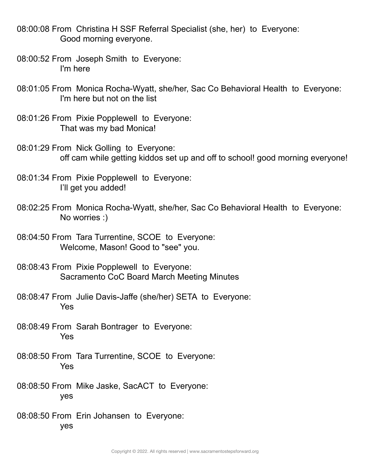08:00:08 From Christina H SSF Referral Specialist (she, her) to Everyone: Good morning everyone.

- 08:00:52 From Joseph Smith to Everyone: I'm here
- 08:01:05 From Monica Rocha-Wyatt, she/her, Sac Co Behavioral Health to Everyone: I'm here but not on the list
- 08:01:26 From Pixie Popplewell to Everyone: That was my bad Monica!
- 08:01:29 From Nick Golling to Everyone: off cam while getting kiddos set up and off to school! good morning everyone!
- 08:01:34 From Pixie Popplewell to Everyone: I'll get you added!
- 08:02:25 From Monica Rocha-Wyatt, she/her, Sac Co Behavioral Health to Everyone: No worries :)
- 08:04:50 From Tara Turrentine, SCOE to Everyone: Welcome, Mason! Good to "see" you.
- 08:08:43 From Pixie Popplewell to Everyone: Sacramento CoC Board March Meeting Minutes
- 08:08:47 From Julie Davis-Jaffe (she/her) SETA to Everyone: Yes
- 08:08:49 From Sarah Bontrager to Everyone: Yes
- 08:08:50 From Tara Turrentine, SCOE to Everyone: Yes
- 08:08:50 From Mike Jaske, SacACT to Everyone: yes
- 08:08:50 From Erin Johansen to Everyone: yes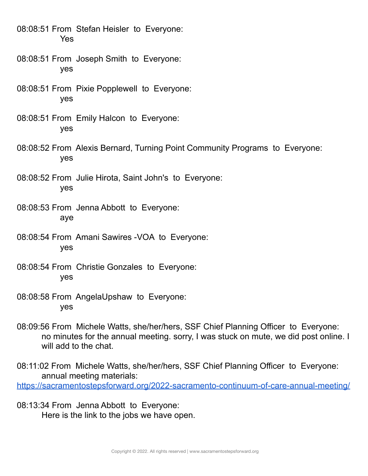08:08:51 From Stefan Heisler to Everyone: Yes

- 08:08:51 From Joseph Smith to Everyone: yes
- 08:08:51 From Pixie Popplewell to Everyone: yes
- 08:08:51 From Emily Halcon to Everyone: yes
- 08:08:52 From Alexis Bernard, Turning Point Community Programs to Everyone: yes
- 08:08:52 From Julie Hirota, Saint John's to Everyone: yes
- 08:08:53 From Jenna Abbott to Everyone: aye
- 08:08:54 From Amani Sawires -VOA to Everyone: yes
- 08:08:54 From Christie Gonzales to Everyone: yes
- 08:08:58 From AngelaUpshaw to Everyone: yes
- 08:09:56 From Michele Watts, she/her/hers, SSF Chief Planning Officer to Everyone: no minutes for the annual meeting. sorry, I was stuck on mute, we did post online. I will add to the chat.
- 08:11:02 From Michele Watts, she/her/hers, SSF Chief Planning Officer to Everyone: annual meeting materials: <https://sacramentostepsforward.org/2022-sacramento-continuum-of-care-annual-meeting/>
- 08:13:34 From Jenna Abbott to Everyone: Here is the link to the jobs we have open.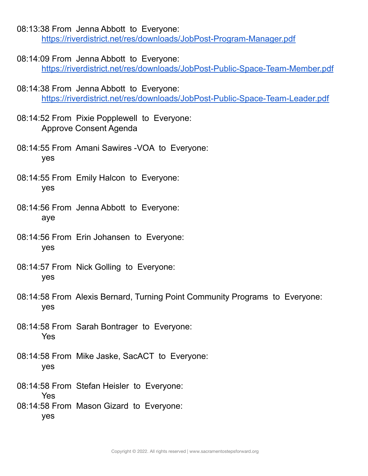- 08:13:38 From Jenna Abbott to Everyone: <https://riverdistrict.net/res/downloads/JobPost-Program-Manager.pdf>
- 08:14:09 From Jenna Abbott to Everyone: <https://riverdistrict.net/res/downloads/JobPost-Public-Space-Team-Member.pdf>
- 08:14:38 From Jenna Abbott to Everyone: <https://riverdistrict.net/res/downloads/JobPost-Public-Space-Team-Leader.pdf>
- 08:14:52 From Pixie Popplewell to Everyone: Approve Consent Agenda
- 08:14:55 From Amani Sawires -VOA to Everyone: yes
- 08:14:55 From Emily Halcon to Everyone: yes
- 08:14:56 From Jenna Abbott to Everyone: aye
- 08:14:56 From Erin Johansen to Everyone: yes
- 08:14:57 From Nick Golling to Everyone: yes
- 08:14:58 From Alexis Bernard, Turning Point Community Programs to Everyone: yes
- 08:14:58 From Sarah Bontrager to Everyone: Yes
- 08:14:58 From Mike Jaske, SacACT to Everyone: yes
- 08:14:58 From Stefan Heisler to Everyone: Yes
- 08:14:58 From Mason Gizard to Everyone: yes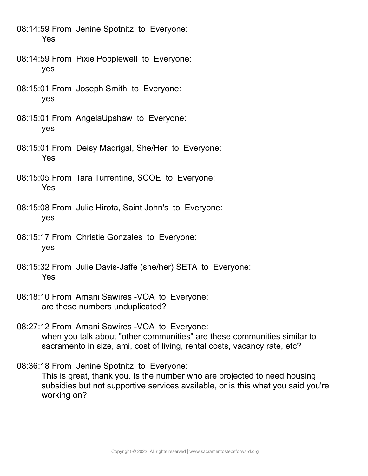- 08:14:59 From Jenine Spotnitz to Everyone: Yes
- 08:14:59 From Pixie Popplewell to Everyone: yes
- 08:15:01 From Joseph Smith to Everyone: yes
- 08:15:01 From AngelaUpshaw to Everyone: yes
- 08:15:01 From Deisy Madrigal, She/Her to Everyone: Yes
- 08:15:05 From Tara Turrentine, SCOE to Everyone: Yes
- 08:15:08 From Julie Hirota, Saint John's to Everyone: yes
- 08:15:17 From Christie Gonzales to Everyone: yes
- 08:15:32 From Julie Davis-Jaffe (she/her) SETA to Everyone: Yes
- 08:18:10 From Amani Sawires -VOA to Everyone: are these numbers unduplicated?
- 08:27:12 From Amani Sawires -VOA to Everyone: when you talk about "other communities" are these communities similar to sacramento in size, ami, cost of living, rental costs, vacancy rate, etc?
- 08:36:18 From Jenine Spotnitz to Everyone: This is great, thank you. Is the number who are projected to need housing subsidies but not supportive services available, or is this what you said you're working on?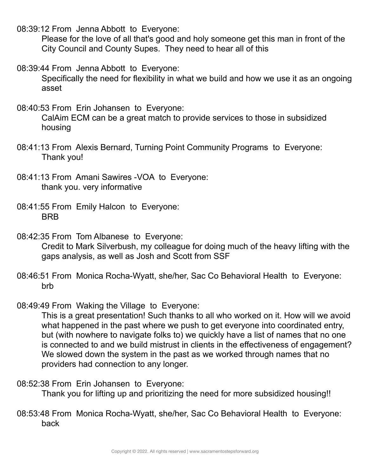08:39:12 From Jenna Abbott to Everyone:

Please for the love of all that's good and holy someone get this man in front of the City Council and County Supes. They need to hear all of this

08:39:44 From Jenna Abbott to Everyone:

Specifically the need for flexibility in what we build and how we use it as an ongoing asset

08:40:53 From Erin Johansen to Everyone:

CalAim ECM can be a great match to provide services to those in subsidized housing

- 08:41:13 From Alexis Bernard, Turning Point Community Programs to Everyone: Thank you!
- 08:41:13 From Amani Sawires -VOA to Everyone: thank you. very informative
- 08:41:55 From Emily Halcon to Everyone: BRB

08:42:35 From Tom Albanese to Everyone: Credit to Mark Silverbush, my colleague for doing much of the heavy lifting with the gaps analysis, as well as Josh and Scott from SSF

- 08:46:51 From Monica Rocha-Wyatt, she/her, Sac Co Behavioral Health to Everyone: brb
- 08:49:49 From Waking the Village to Everyone:

This is a great presentation! Such thanks to all who worked on it. How will we avoid what happened in the past where we push to get everyone into coordinated entry, but (with nowhere to navigate folks to) we quickly have a list of names that no one is connected to and we build mistrust in clients in the effectiveness of engagement? We slowed down the system in the past as we worked through names that no providers had connection to any longer.

08:52:38 From Erin Johansen to Everyone:

Thank you for lifting up and prioritizing the need for more subsidized housing!!

08:53:48 From Monica Rocha-Wyatt, she/her, Sac Co Behavioral Health to Everyone: back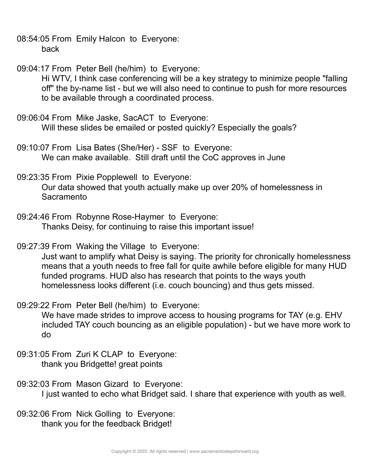- 08:54:05 From Emily Halcon to Everyone: back
- 09:04:17 From Peter Bell (he/him) to Everyone: Hi WTV, I think case conferencing will be a key strategy to minimize people "falling off" the by-name list - but we will also need to continue to push for more resources to be available through a coordinated process.
- 09:06:04 From Mike Jaske, SacACT to Everyone: Will these slides be emailed or posted quickly? Especially the goals?
- 09:10:07 From Lisa Bates (She/Her) SSF to Everyone: We can make available. Still draft until the CoC approves in June
- 09:23:35 From Pixie Popplewell to Everyone: Our data showed that youth actually make up over 20% of homelessness in **Sacramento**
- 09:24:46 From Robynne Rose-Haymer to Everyone: Thanks Deisy, for continuing to raise this important issue!
- 09:27:39 From Waking the Village to Everyone:

Just want to amplify what Deisy is saying. The priority for chronically homelessness means that a youth needs to free fall for quite awhile before eligible for many HUD funded programs. HUD also has research that points to the ways youth homelessness looks different (i.e. couch bouncing) and thus gets missed.

- 09:29:22 From Peter Bell (he/him) to Everyone: We have made strides to improve access to housing programs for TAY (e.g. EHV included TAY couch bouncing as an eligible population) - but we have more work to do
- 09:31:05 From Zuri K CLAP to Everyone: thank you Bridgette! great points
- 09:32:03 From Mason Gizard to Everyone: I just wanted to echo what Bridget said. I share that experience with youth as well.
- 09:32:06 From Nick Golling to Everyone: thank you for the feedback Bridget!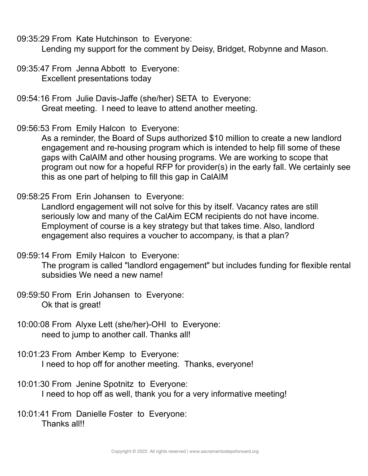09:35:29 From Kate Hutchinson to Everyone:

Lending my support for the comment by Deisy, Bridget, Robynne and Mason.

- 09:35:47 From Jenna Abbott to Everyone: Excellent presentations today
- 09:54:16 From Julie Davis-Jaffe (she/her) SETA to Everyone: Great meeting. I need to leave to attend another meeting.
- 09:56:53 From Emily Halcon to Everyone:

As a reminder, the Board of Sups authorized \$10 million to create a new landlord engagement and re-housing program which is intended to help fill some of these gaps with CalAIM and other housing programs. We are working to scope that program out now for a hopeful RFP for provider(s) in the early fall. We certainly see this as one part of helping to fill this gap in CalAIM

09:58:25 From Erin Johansen to Everyone:

Landlord engagement will not solve for this by itself. Vacancy rates are still seriously low and many of the CalAim ECM recipients do not have income. Employment of course is a key strategy but that takes time. Also, landlord engagement also requires a voucher to accompany, is that a plan?

09:59:14 From Emily Halcon to Everyone:

The program is called "landlord engagement" but includes funding for flexible rental subsidies We need a new name!

- 09:59:50 From Erin Johansen to Everyone: Ok that is great!
- 10:00:08 From Alyxe Lett (she/her)-OHI to Everyone: need to jump to another call. Thanks all!
- 10:01:23 From Amber Kemp to Everyone: I need to hop off for another meeting. Thanks, everyone!
- 10:01:30 From Jenine Spotnitz to Everyone: I need to hop off as well, thank you for a very informative meeting!
- 10:01:41 From Danielle Foster to Everyone: Thanks all!!